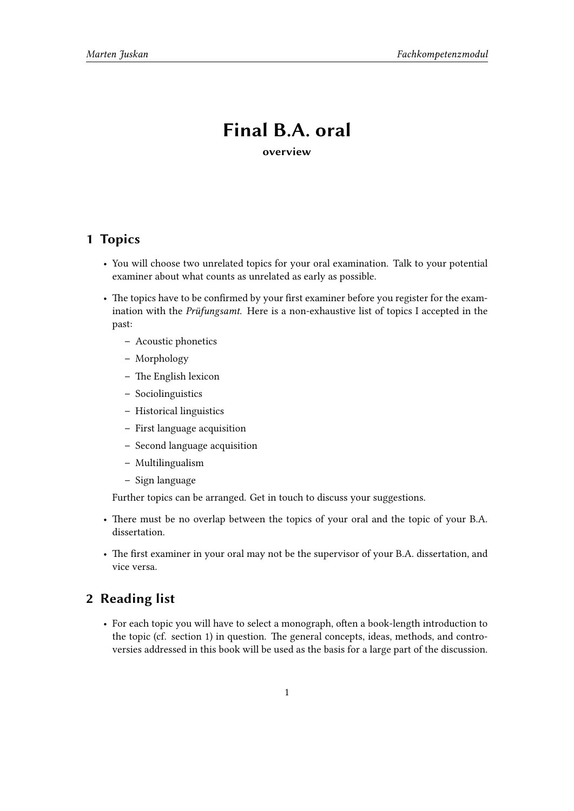## **Final B.A. oral**

**overview**

## **1 Topics**

- You will choose two unrelated topics for your oral examination. Talk to your potential examiner about what counts as unrelated as early as possible.
- The topics have to be confirmed by your first examiner before you register for the examination with the *Prüfungsamt*. Here is a non-exhaustive list of topics I accepted in the past:
	- **–** Acoustic phonetics
	- **–** Morphology
	- **–** The English lexicon
	- **–** Sociolinguistics
	- **–** Historical linguistics
	- **–** First language acquisition
	- **–** Second language acquisition
	- **–** Multilingualism
	- **–** Sign language

Further topics can be arranged. Get in touch to discuss your suggestions.

- There must be no overlap between the topics of your oral and the topic of your B.A. dissertation.
- The first examiner in your oral may not be the supervisor of your B.A. dissertation, and vice versa.

## **2 Reading list**

• For each topic you will have to select a monograph, often a book-length introduction to the topic (cf. section 1) in question. The general concepts, ideas, methods, and controversies addressed in this book will be used as the basis for a large part of the discussion.